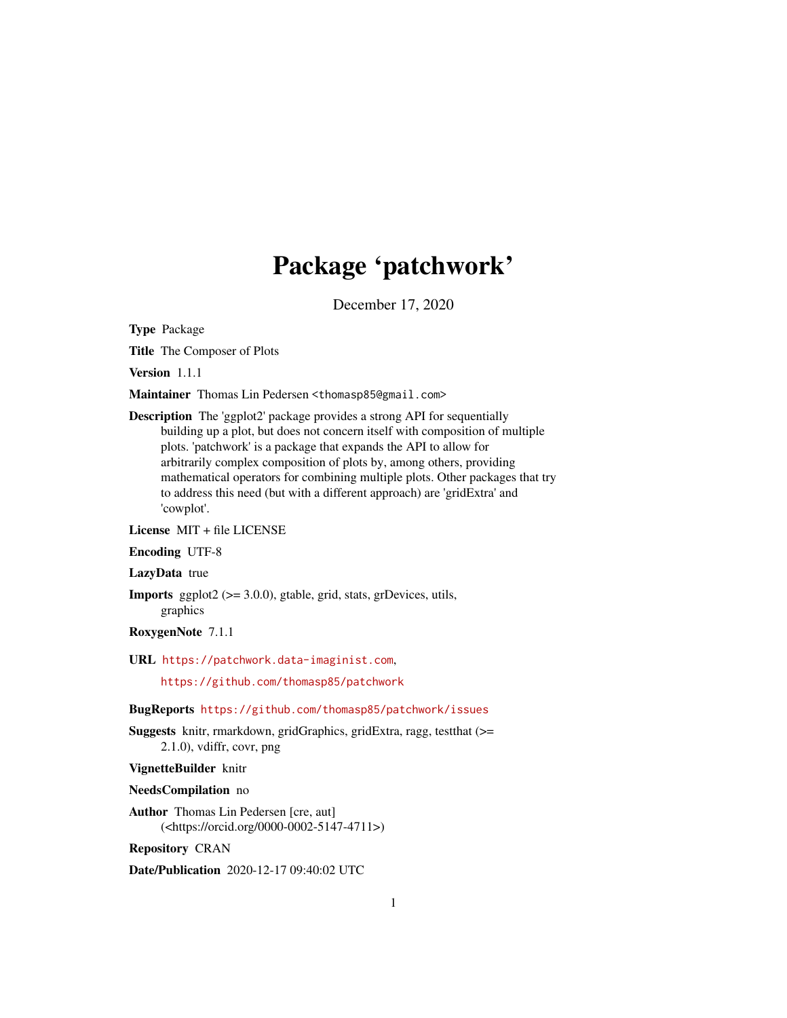## Package 'patchwork'

December 17, 2020

<span id="page-0-0"></span>Type Package

Title The Composer of Plots

Version 1.1.1

Maintainer Thomas Lin Pedersen <thomasp85@gmail.com>

Description The 'ggplot2' package provides a strong API for sequentially building up a plot, but does not concern itself with composition of multiple plots. 'patchwork' is a package that expands the API to allow for arbitrarily complex composition of plots by, among others, providing mathematical operators for combining multiple plots. Other packages that try to address this need (but with a different approach) are 'gridExtra' and 'cowplot'.

License MIT + file LICENSE

Encoding UTF-8

LazyData true

**Imports** ggplot2  $(>= 3.0.0)$ , gtable, grid, stats, grDevices, utils, graphics

RoxygenNote 7.1.1

URL <https://patchwork.data-imaginist.com>,

<https://github.com/thomasp85/patchwork>

BugReports <https://github.com/thomasp85/patchwork/issues>

Suggests knitr, rmarkdown, gridGraphics, gridExtra, ragg, testthat (>= 2.1.0), vdiffr, covr, png

VignetteBuilder knitr

NeedsCompilation no

Author Thomas Lin Pedersen [cre, aut] (<https://orcid.org/0000-0002-5147-4711>)

Repository CRAN

Date/Publication 2020-12-17 09:40:02 UTC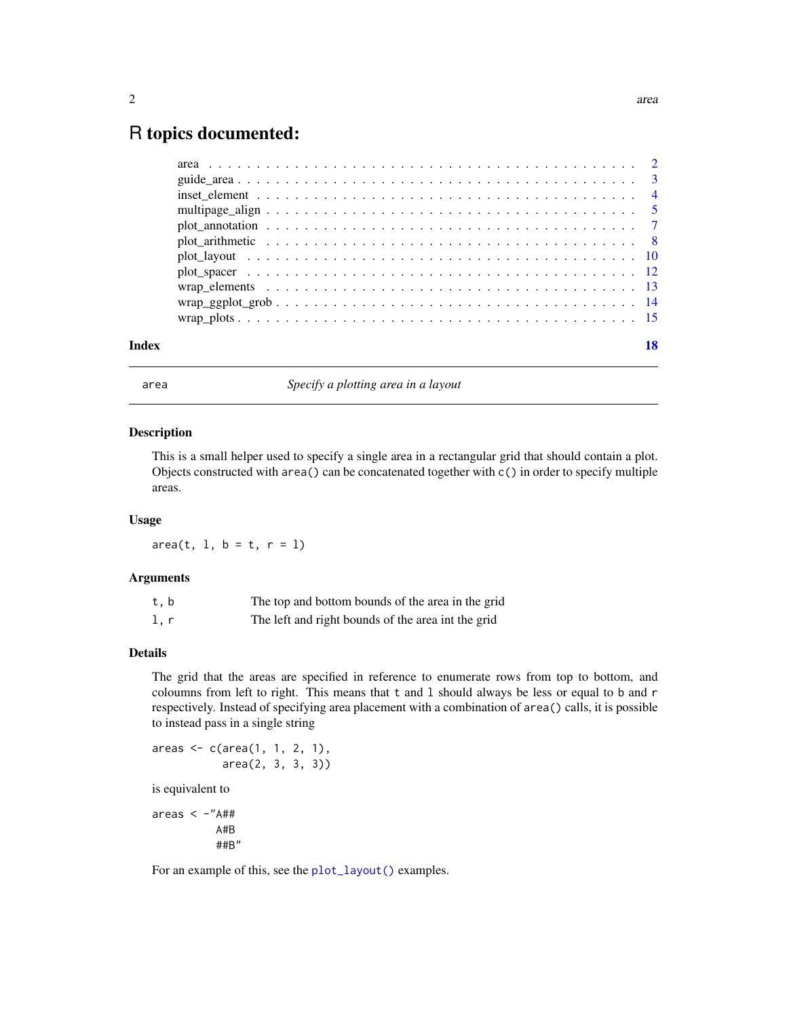### <span id="page-1-0"></span>R topics documented:

|       | $\text{wrap\_ggplot\_grob} \dots \dots \dots \dots \dots \dots \dots \dots \dots \dots \dots \dots \dots \dots \dots \dots \dots$ |    |
|-------|-----------------------------------------------------------------------------------------------------------------------------------|----|
|       |                                                                                                                                   |    |
| Index |                                                                                                                                   | 18 |

<span id="page-1-1"></span>

area *Specify a plotting area in a layout*

#### Description

This is a small helper used to specify a single area in a rectangular grid that should contain a plot. Objects constructed with area() can be concatenated together with c() in order to specify multiple areas.

#### Usage

 $area(t, 1, b = t, r = 1)$ 

#### Arguments

| t.b | The top and bottom bounds of the area in the grid  |
|-----|----------------------------------------------------|
| l.r | The left and right bounds of the area int the grid |

#### Details

The grid that the areas are specified in reference to enumerate rows from top to bottom, and coloumns from left to right. This means that t and l should always be less or equal to b and r respectively. Instead of specifying area placement with a combination of area() calls, it is possible to instead pass in a single string

```
areas <- c(area(1, 1, 2, 1),
           area(2, 3, 3, 3))
is equivalent to
```
areas  $\langle -n \rangle$ A#B ##B"

For an example of this, see the [plot\\_layout\(\)](#page-9-1) examples.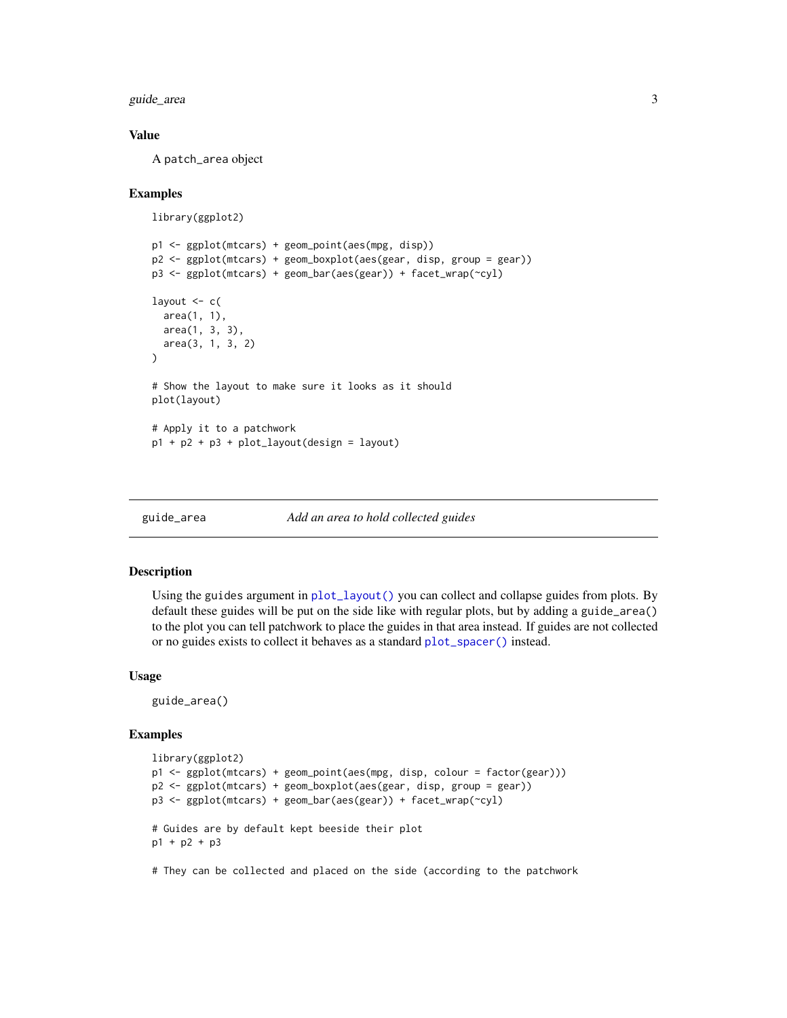<span id="page-2-0"></span>guide\_area 3

#### Value

A patch\_area object

#### Examples

```
library(ggplot2)
```

```
p1 <- ggplot(mtcars) + geom_point(aes(mpg, disp))
p2 <- ggplot(mtcars) + geom_boxplot(aes(gear, disp, group = gear))
p3 <- ggplot(mtcars) + geom_bar(aes(gear)) + facet_wrap(~cyl)
layout <-c(area(1, 1),
  area(1, 3, 3),
  area(3, 1, 3, 2)
)
# Show the layout to make sure it looks as it should
plot(layout)
# Apply it to a patchwork
p1 + p2 + p3 + plot\_layout(design = layout)
```

```
guide_area Add an area to hold collected guides
```
#### Description

Using the guides argument in [plot\\_layout\(\)](#page-9-1) you can collect and collapse guides from plots. By default these guides will be put on the side like with regular plots, but by adding a guide\_area() to the plot you can tell patchwork to place the guides in that area instead. If guides are not collected or no guides exists to collect it behaves as a standard [plot\\_spacer\(\)](#page-11-1) instead.

#### Usage

guide\_area()

#### Examples

```
library(ggplot2)
p1 <- ggplot(mtcars) + geom_point(aes(mpg, disp, colour = factor(gear)))
p2 <- ggplot(mtcars) + geom_boxplot(aes(gear, disp, group = gear))
p3 <- ggplot(mtcars) + geom_bar(aes(gear)) + facet_wrap(~cyl)
# Guides are by default kept beeside their plot
p1 + p2 + p3
```
# They can be collected and placed on the side (according to the patchwork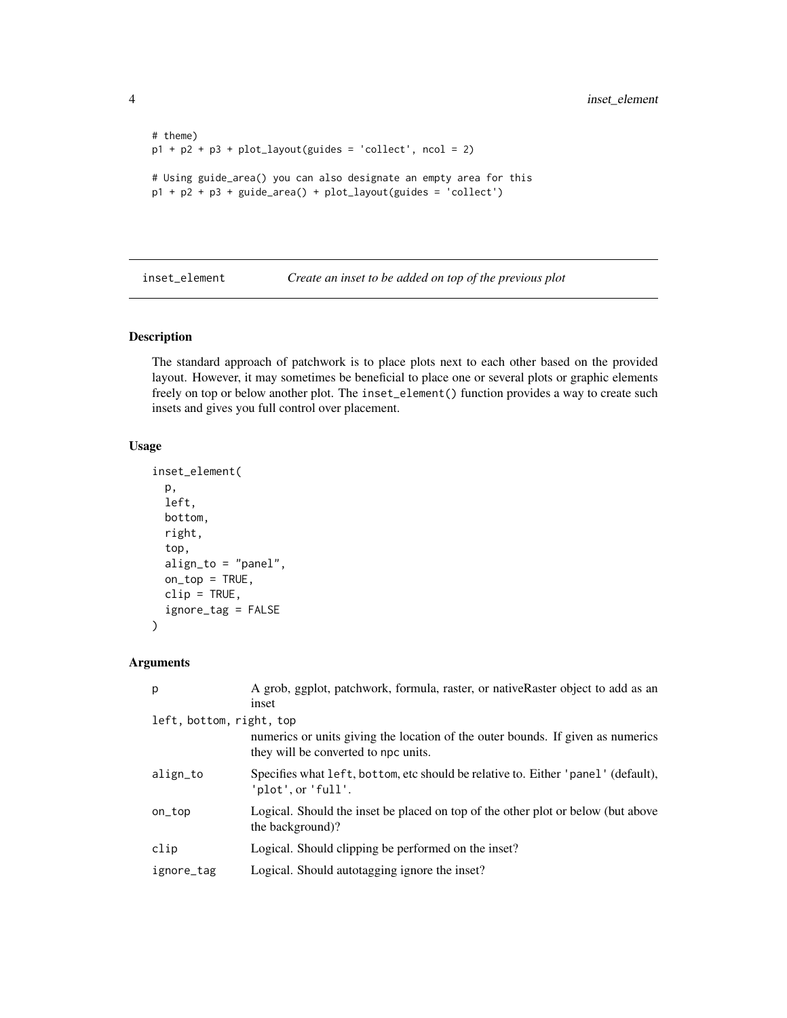```
# theme)
p1 + p2 + p3 + plot_{layout(guides = 'collect', ncol = 2)# Using guide_area() you can also designate an empty area for this
p1 + p2 + p3 + guide_area() + plot_layout(guides = 'collect')
```
inset\_element *Create an inset to be added on top of the previous plot*

#### Description

The standard approach of patchwork is to place plots next to each other based on the provided layout. However, it may sometimes be beneficial to place one or several plots or graphic elements freely on top or below another plot. The inset\_element() function provides a way to create such insets and gives you full control over placement.

#### Usage

```
inset_element(
 p,
  left,
 bottom,
  right,
  top,
  align_to = "panel",
  on\_top = TRUE,clip = TRUE,
  ignore_tag = FALSE
)
```
#### Arguments

| p                        | A grob, ggplot, patchwork, formula, raster, or nativeRaster object to add as an<br>inset                                |
|--------------------------|-------------------------------------------------------------------------------------------------------------------------|
| left, bottom, right, top | numerics or units giving the location of the outer bounds. If given as numerics<br>they will be converted to npc units. |
| align_to                 | Specifies what left, bottom, etc should be relative to. Either 'panel' (default),<br>'plot', or 'full'.                 |
| on_top                   | Logical. Should the inset be placed on top of the other plot or below (but above<br>the background)?                    |
| clip                     | Logical. Should clipping be performed on the inset?                                                                     |
| ignore_tag               | Logical. Should autotagging ignore the inset?                                                                           |

<span id="page-3-0"></span>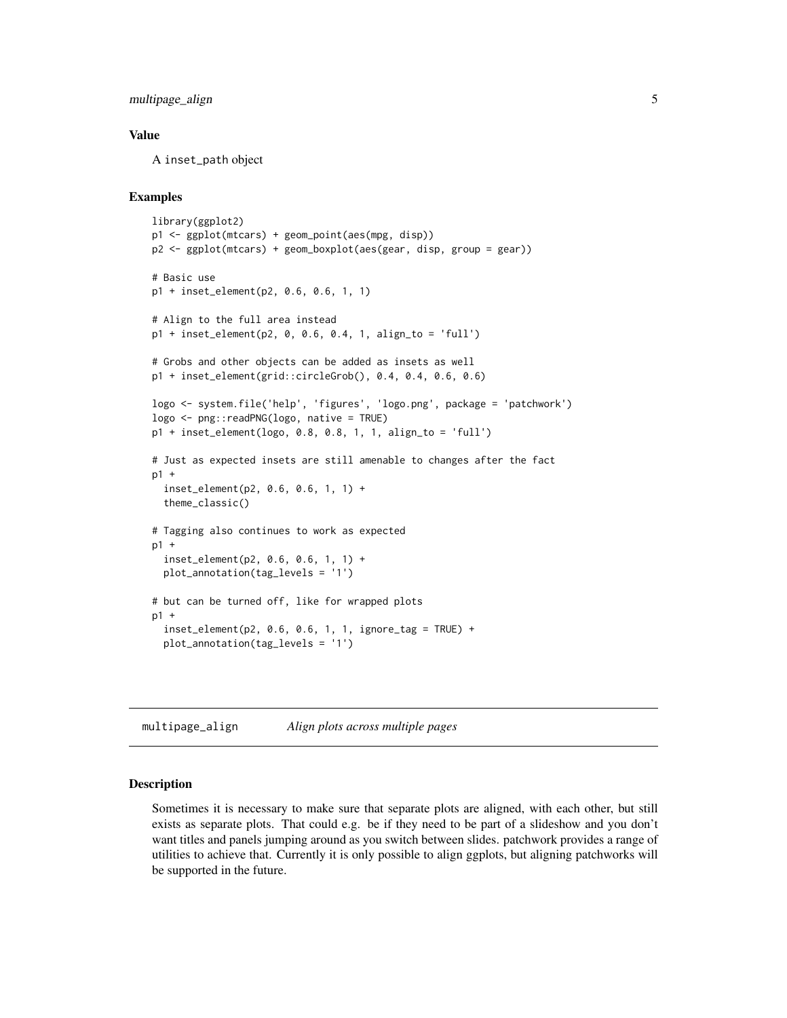<span id="page-4-0"></span>multipage\_align 5

#### Value

A inset\_path object

#### Examples

```
library(ggplot2)
p1 <- ggplot(mtcars) + geom_point(aes(mpg, disp))
p2 <- ggplot(mtcars) + geom_boxplot(aes(gear, disp, group = gear))
# Basic use
p1 + inset_element(p2, 0.6, 0.6, 1, 1)
# Align to the full area instead
p1 + inset_element(p2, 0, 0.6, 0.4, 1, align_to = 'full')
# Grobs and other objects can be added as insets as well
p1 + inset_element(grid::circleGrob(), 0.4, 0.4, 0.6, 0.6)
logo <- system.file('help', 'figures', 'logo.png', package = 'patchwork')
logo <- png::readPNG(logo, native = TRUE)
p1 + inset_element(logo, 0.8, 0.8, 1, 1, align_to = 'full')
# Just as expected insets are still amenable to changes after the fact
p1 +
  inset_element(p2, 0.6, 0.6, 1, 1) +
  theme_classic()
# Tagging also continues to work as expected
p1 +
  inset_element(p2, 0.6, 0.6, 1, 1) +
  plot_annotation(tag_levels = '1')
# but can be turned off, like for wrapped plots
p1 +
  inset_element(p2, 0.6, 0.6, 1, 1, ignore_tag = TRUE) +
  plot_annotation(tag_levels = '1')
```
multipage\_align *Align plots across multiple pages*

#### Description

Sometimes it is necessary to make sure that separate plots are aligned, with each other, but still exists as separate plots. That could e.g. be if they need to be part of a slideshow and you don't want titles and panels jumping around as you switch between slides. patchwork provides a range of utilities to achieve that. Currently it is only possible to align ggplots, but aligning patchworks will be supported in the future.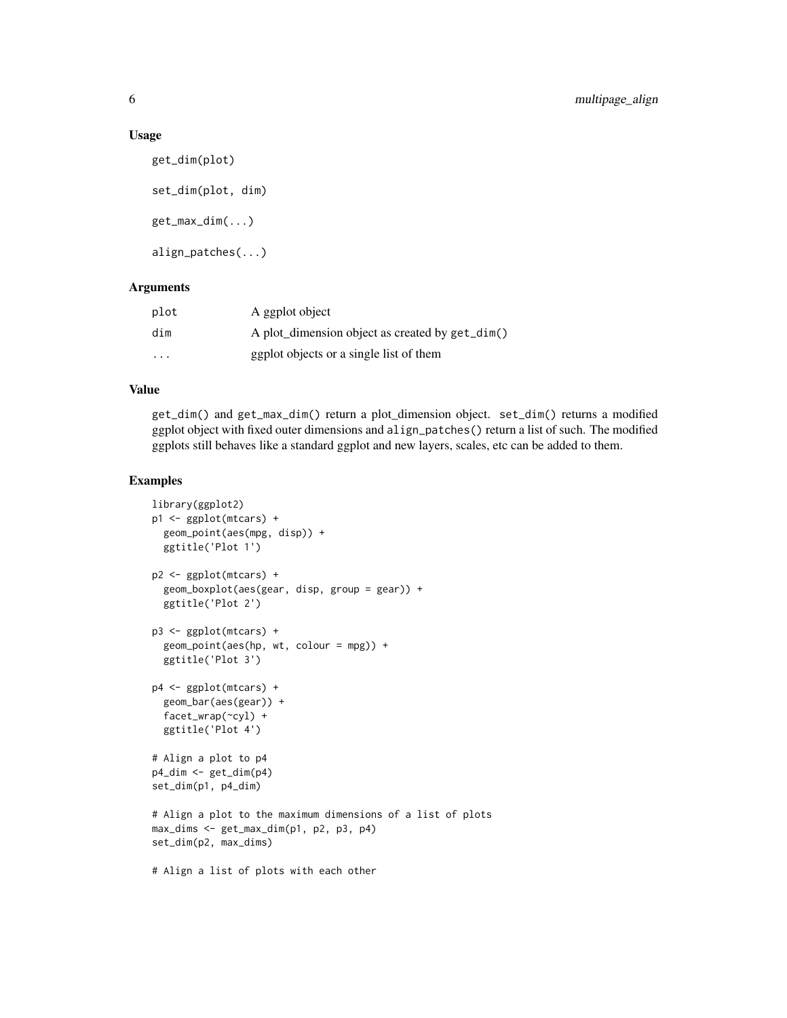#### Usage

```
get_dim(plot)
set_dim(plot, dim)
get_max_dim(...)
align_patches(...)
```
#### Arguments

| plot | A ggplot object                                 |
|------|-------------------------------------------------|
| dim  | A plot_dimension object as created by get_dim() |
| .    | ggplot objects or a single list of them         |

#### Value

get\_dim() and get\_max\_dim() return a plot\_dimension object. set\_dim() returns a modified ggplot object with fixed outer dimensions and align\_patches() return a list of such. The modified ggplots still behaves like a standard ggplot and new layers, scales, etc can be added to them.

#### Examples

```
library(ggplot2)
p1 <- ggplot(mtcars) +
  geom_point(aes(mpg, disp)) +
  ggtitle('Plot 1')
p2 <- ggplot(mtcars) +
  geom_boxplot(aes(gear, disp, group = gear)) +
  ggtitle('Plot 2')
p3 <- ggplot(mtcars) +
  geom_point(aes(hp, wt, colour = mpg)) +
  ggtitle('Plot 3')
p4 <- ggplot(mtcars) +
  geom_bar(aes(gear)) +
  facet_wrap(~cyl) +
  ggtitle('Plot 4')
# Align a plot to p4
p4_dim <- get_dim(p4)
set_dim(p1, p4_dim)
# Align a plot to the maximum dimensions of a list of plots
max_dims <- get_max_dim(p1, p2, p3, p4)
set_dim(p2, max_dims)
# Align a list of plots with each other
```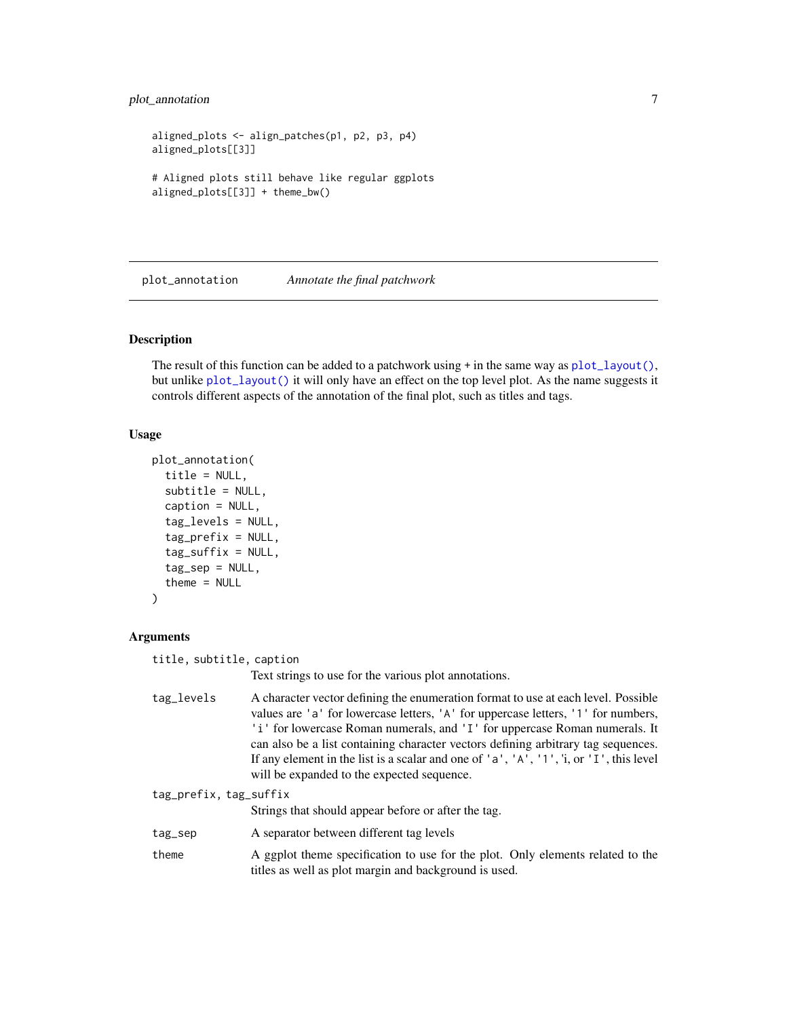#### <span id="page-6-0"></span>plot\_annotation 7

```
aligned_plots <- align_patches(p1, p2, p3, p4)
aligned_plots[[3]]
# Aligned plots still behave like regular ggplots
aligned_plots[[3]] + theme_bw()
```
<span id="page-6-1"></span>plot\_annotation *Annotate the final patchwork*

#### **Description**

The result of this function can be added to a patchwork using  $+$  in the same way as  $plot\_layout()$ , but unlike [plot\\_layout\(\)](#page-9-1) it will only have an effect on the top level plot. As the name suggests it controls different aspects of the annotation of the final plot, such as titles and tags.

#### Usage

```
plot_annotation(
  title = NULL,
  subtitle = NULL,
  caption = NULL,
  tag_levels = NULL,
  tag_prefix = NULL,
  tag\_suffix = NULL,tag_sep = NULL,
  theme = NULL
)
```
#### Arguments

title, subtitle, caption

Text strings to use for the various plot annotations.

tag\_levels A character vector defining the enumeration format to use at each level. Possible values are 'a' for lowercase letters, 'A' for uppercase letters, '1' for numbers, 'i' for lowercase Roman numerals, and 'I' for uppercase Roman numerals. It can also be a list containing character vectors defining arbitrary tag sequences. If any element in the list is a scalar and one of  $'a'$ , 'A', '1', 'i, or 'I', this level will be expanded to the expected sequence.

```
tag_prefix, tag_suffix
                 Strings that should appear before or after the tag.
tag_sep A separator between different tag levels
theme A ggplot theme specification to use for the plot. Only elements related to the
                 titles as well as plot margin and background is used.
```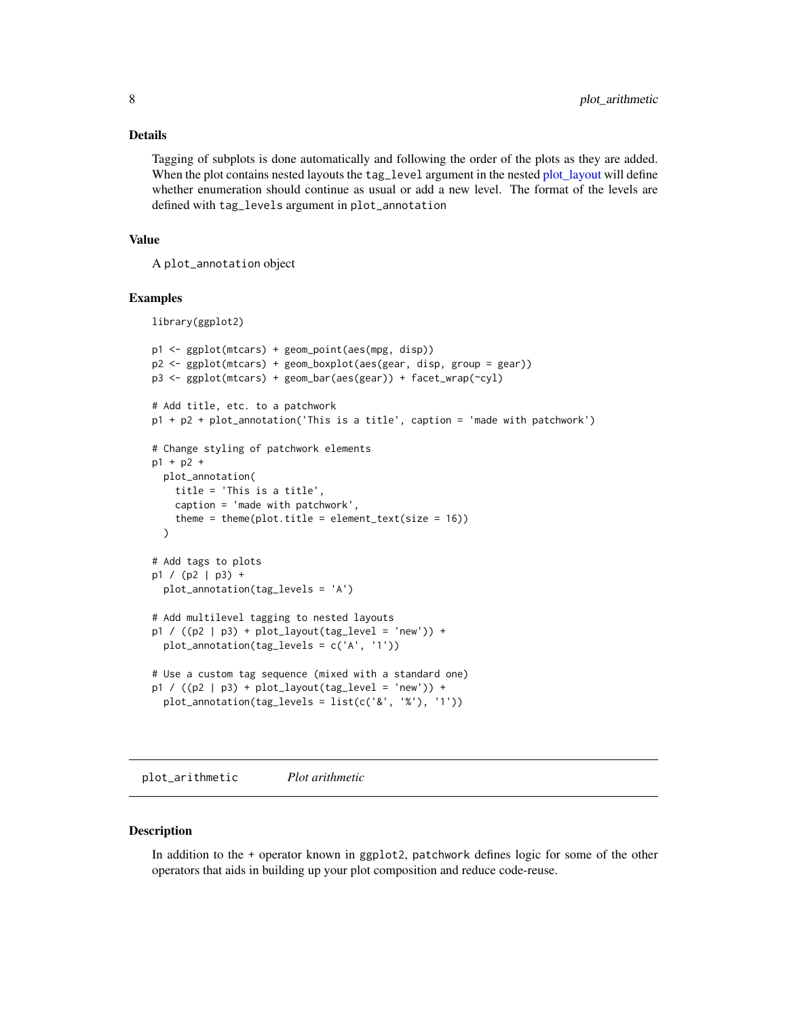#### <span id="page-7-0"></span>Details

Tagging of subplots is done automatically and following the order of the plots as they are added. When the plot contains nested layouts the tag\_level argument in the nested [plot\\_layout](#page-9-1) will define whether enumeration should continue as usual or add a new level. The format of the levels are defined with tag\_levels argument in plot\_annotation

#### Value

A plot\_annotation object

#### Examples

library(ggplot2)

```
p1 <- ggplot(mtcars) + geom_point(aes(mpg, disp))
p2 <- ggplot(mtcars) + geom_boxplot(aes(gear, disp, group = gear))
p3 <- ggplot(mtcars) + geom_bar(aes(gear)) + facet_wrap(~cyl)
# Add title, etc. to a patchwork
p1 + p2 + plot_annotation('This is a title', caption = 'made with patchwork')
# Change styling of patchwork elements
p1 + p2 +
 plot_annotation(
    title = 'This is a title',
    caption = 'made with patchwork',
    theme = theme(plot.title = element_text(size = 16))
  \lambda# Add tags to plots
p1 / (p2 | p3) +
  plot_annotation(tag_levels = 'A')
# Add multilevel tagging to nested layouts
p1 / ((p2 | p3) + plot\_layout(tag\_level = 'new')) +plot_annotation(tag_levels = c('A', '1'))
# Use a custom tag sequence (mixed with a standard one)
p1 / ((p2 | p3) + plot_{\text{dayout}}(tag_{\text{level}} = 'new')) +
  plot_annotation(tag_levels = list(c('&', '%'), '1'))
```
plot\_arithmetic *Plot arithmetic*

#### **Description**

In addition to the + operator known in ggplot2, patchwork defines logic for some of the other operators that aids in building up your plot composition and reduce code-reuse.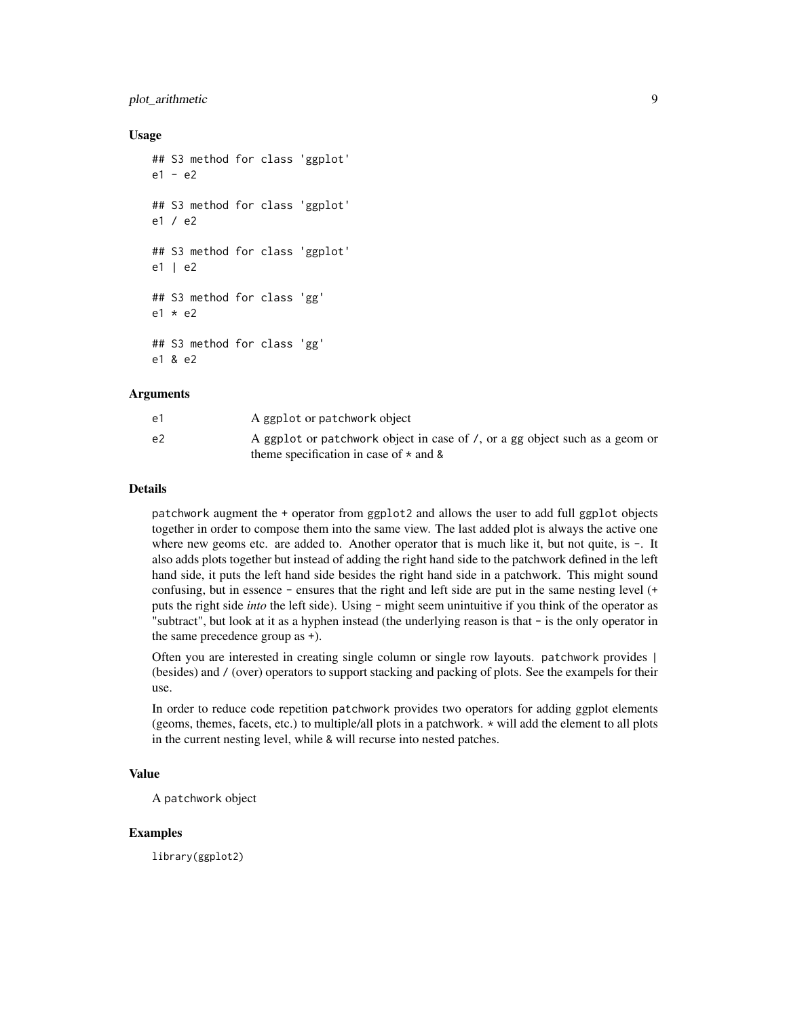#### plot\_arithmetic 9

#### Usage

```
## S3 method for class 'ggplot'
e1 - e2
## S3 method for class 'ggplot'
e1 / e2
## S3 method for class 'ggplot'
e1 | e2
## S3 method for class 'gg'
e1 * e2
## S3 method for class 'gg'
e1 & e2
```
#### Arguments

| e1 | A ggplot or patchwork object                                                                                                |
|----|-----------------------------------------------------------------------------------------------------------------------------|
| e2 | A ggplot or patchwork object in case of /, or a gg object such as a geom or<br>theme specification in case of $\star$ and & |

#### Details

patchwork augment the + operator from ggplot2 and allows the user to add full ggplot objects together in order to compose them into the same view. The last added plot is always the active one where new geoms etc. are added to. Another operator that is much like it, but not quite, is -. It also adds plots together but instead of adding the right hand side to the patchwork defined in the left hand side, it puts the left hand side besides the right hand side in a patchwork. This might sound confusing, but in essence - ensures that the right and left side are put in the same nesting level (+ puts the right side *into* the left side). Using - might seem unintuitive if you think of the operator as "subtract", but look at it as a hyphen instead (the underlying reason is that - is the only operator in the same precedence group as +).

Often you are interested in creating single column or single row layouts. patchwork provides | (besides) and / (over) operators to support stacking and packing of plots. See the exampels for their use.

In order to reduce code repetition patchwork provides two operators for adding ggplot elements (geoms, themes, facets, etc.) to multiple/all plots in a patchwork. \* will add the element to all plots in the current nesting level, while & will recurse into nested patches.

#### Value

A patchwork object

#### Examples

library(ggplot2)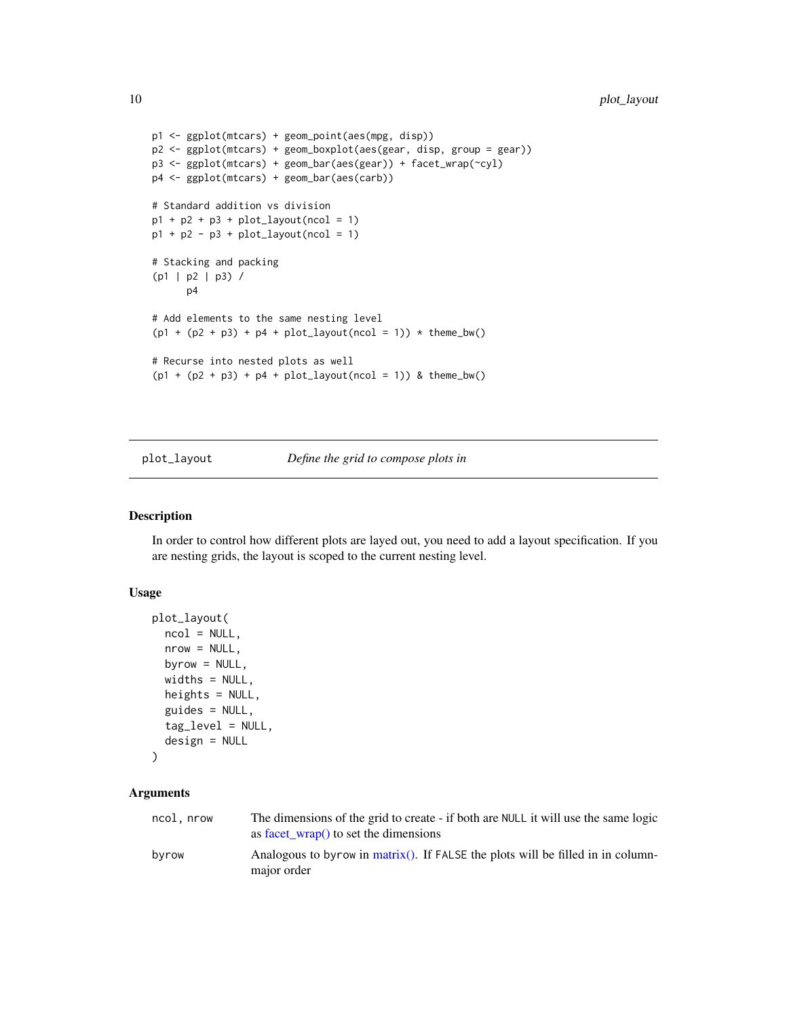```
p1 <- ggplot(mtcars) + geom_point(aes(mpg, disp))
p2 <- ggplot(mtcars) + geom_boxplot(aes(gear, disp, group = gear))
p3 <- ggplot(mtcars) + geom_bar(aes(gear)) + facet_wrap(~cyl)
p4 <- ggplot(mtcars) + geom_bar(aes(carb))
# Standard addition vs division
p1 + p2 + p3 + plot_{\text{dayout}}(\text{ncol} = 1)p1 + p2 - p3 + plot_{\text{dayout}}(\text{ncol} = 1)# Stacking and packing
(p1 | p2 | p3) /
      p4
# Add elements to the same nesting level
(p1 + (p2 + p3) + p4 + plot\_layout(ncol = 1)) * them\_bw()# Recurse into nested plots as well
(p1 + (p2 + p3) + p4 + plot_{\text{dayout}}(ncol = 1)) & theme_bw()
```
#### <span id="page-9-1"></span>plot\_layout *Define the grid to compose plots in*

#### Description

In order to control how different plots are layed out, you need to add a layout specification. If you are nesting grids, the layout is scoped to the current nesting level.

#### Usage

```
plot_layout(
  ncol = NULL,nrow = NULL,byrow = NULL,
  widths = NULL,
  heights = NULL,
  guides = NULL,
  tag_level = NULL,
  design = NULL
)
```
#### Arguments

| ncol, nrow | The dimensions of the grid to create - if both are NULL it will use the same logic<br>as facet $wrap()$ to set the dimensions |
|------------|-------------------------------------------------------------------------------------------------------------------------------|
| byrow      | Analogous to byrow in matrix(). If FALSE the plots will be filled in in column-<br>major order                                |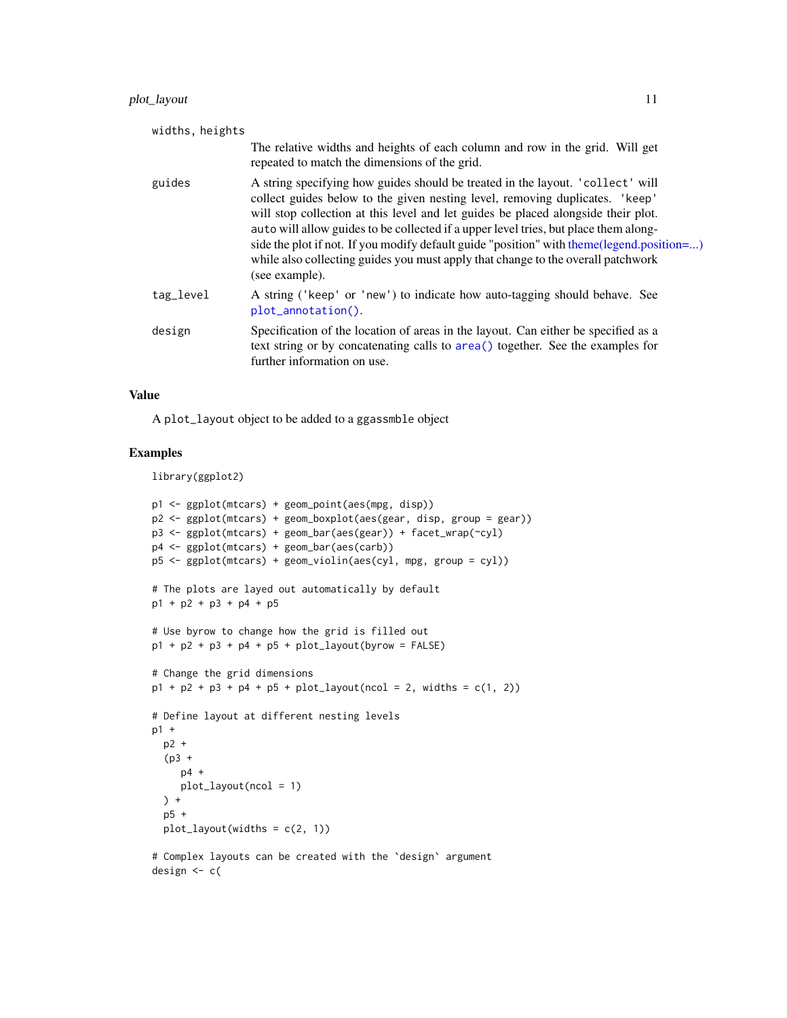<span id="page-10-0"></span>

| widths, heights |                                                                                                                                                                                                                                                                                                                                                                                                                                                                                                                                                |
|-----------------|------------------------------------------------------------------------------------------------------------------------------------------------------------------------------------------------------------------------------------------------------------------------------------------------------------------------------------------------------------------------------------------------------------------------------------------------------------------------------------------------------------------------------------------------|
|                 | The relative widths and heights of each column and row in the grid. Will get<br>repeated to match the dimensions of the grid.                                                                                                                                                                                                                                                                                                                                                                                                                  |
| guides          | A string specifying how guides should be treated in the layout. 'collect' will<br>collect guides below to the given nesting level, removing duplicates. 'keep'<br>will stop collection at this level and let guides be placed alongside their plot.<br>auto will allow guides to be collected if a upper level tries, but place them along-<br>side the plot if not. If you modify default guide "position" with theme(legend.position=)<br>while also collecting guides you must apply that change to the overall patchwork<br>(see example). |
| tag_level       | A string ('keep' or 'new') to indicate how auto-tagging should behave. See<br>plot_annotation().                                                                                                                                                                                                                                                                                                                                                                                                                                               |
| design          | Specification of the location of areas in the layout. Can either be specified as a<br>text string or by concatenating calls to area() together. See the examples for<br>further information on use.                                                                                                                                                                                                                                                                                                                                            |

#### Value

A plot\_layout object to be added to a ggassmble object

#### Examples

library(ggplot2)

```
p1 <- ggplot(mtcars) + geom_point(aes(mpg, disp))
p2 <- ggplot(mtcars) + geom_boxplot(aes(gear, disp, group = gear))
p3 <- ggplot(mtcars) + geom_bar(aes(gear)) + facet_wrap(~cyl)
p4 <- ggplot(mtcars) + geom_bar(aes(carb))
p5 <- ggplot(mtcars) + geom_violin(aes(cyl, mpg, group = cyl))
# The plots are layed out automatically by default
p1 + p2 + p3 + p4 + p5
# Use byrow to change how the grid is filled out
p1 + p2 + p3 + p4 + p5 + plot\_layout(byrow = FALSE)# Change the grid dimensions
p1 + p2 + p3 + p4 + p5 + plot_{\text{dayout}}(ncol = 2, \text{ widths} = c(1, 2))# Define layout at different nesting levels
p1 +
  p2 +
  (p3 +
     p4 +
     plot_layout(ncol = 1)
  ) +
  p5 +
  plot_{layout(widths = c(2, 1))}# Complex layouts can be created with the `design` argument
```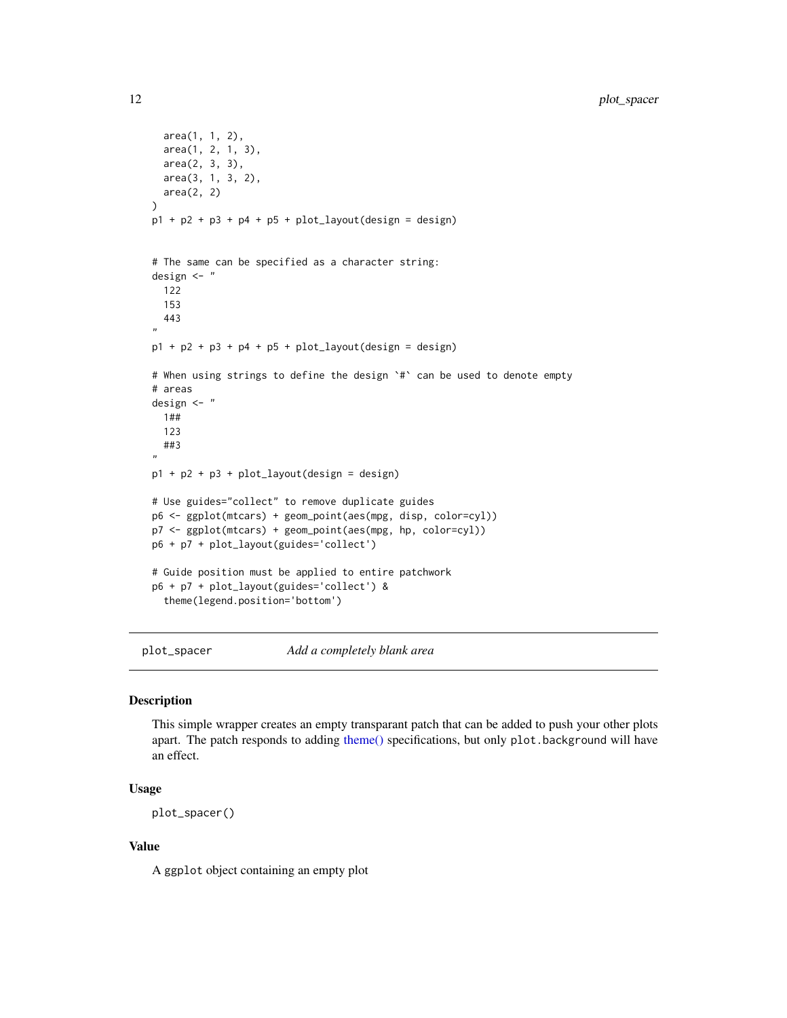```
area(1, 1, 2),
  area(1, 2, 1, 3),
  area(2, 3, 3),
  area(3, 1, 3, 2),
  area(2, 2)
)
p1 + p2 + p3 + p4 + p5 + plotlayout(design = design)
# The same can be specified as a character string:
design <- "
  122
  153
 443
"
p1 + p2 + p3 + p4 + p5 + plotlayout(design = design)
# When using strings to define the design `#` can be used to denote empty
# areas
design <- "
  1##
  123
  ##3
"
p1 + p2 + p3 + plot_layout(design = design)
# Use guides="collect" to remove duplicate guides
p6 <- ggplot(mtcars) + geom_point(aes(mpg, disp, color=cyl))
p7 <- ggplot(mtcars) + geom_point(aes(mpg, hp, color=cyl))
p6 + p7 + plot_layout(guides='collect')
# Guide position must be applied to entire patchwork
p6 + p7 + plot_layout(guides='collect') &
  theme(legend.position='bottom')
```
<span id="page-11-1"></span>plot\_spacer *Add a completely blank area*

#### Description

This simple wrapper creates an empty transparant patch that can be added to push your other plots apart. The patch responds to adding [theme\(\)](#page-0-0) specifications, but only plot.background will have an effect.

#### Usage

```
plot_spacer()
```
#### Value

A ggplot object containing an empty plot

<span id="page-11-0"></span>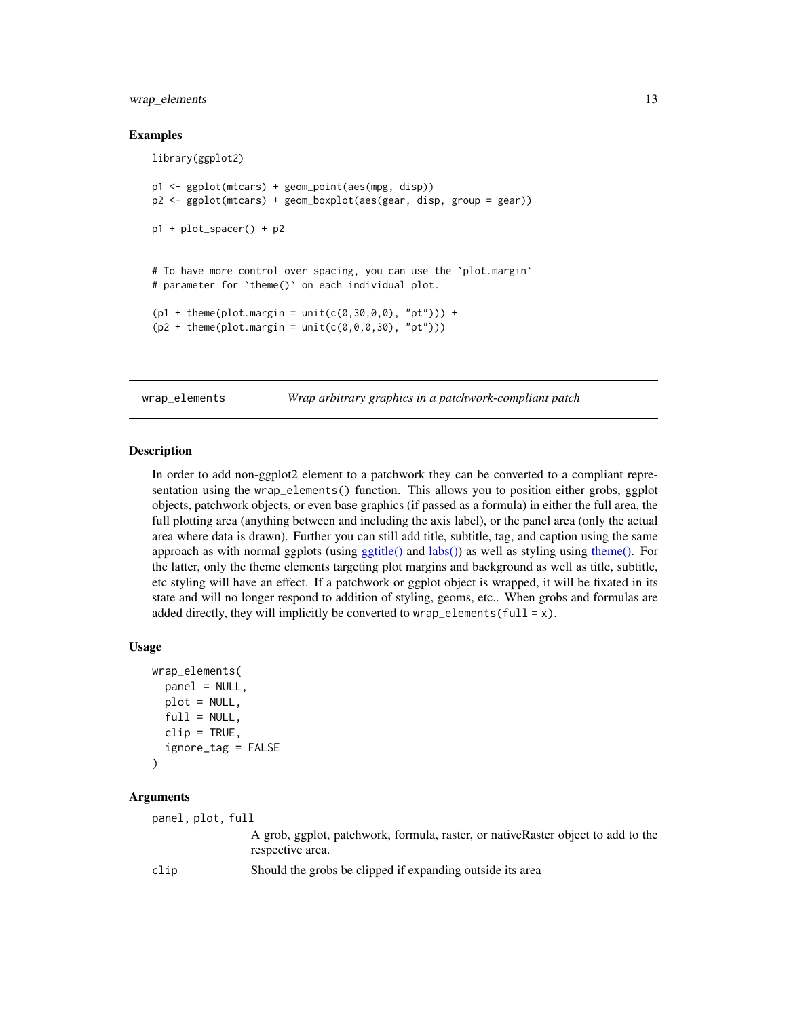#### <span id="page-12-0"></span>wrap\_elements 13

#### Examples

```
library(ggplot2)
p1 <- ggplot(mtcars) + geom_point(aes(mpg, disp))
p2 <- ggplot(mtcars) + geom_boxplot(aes(gear, disp, group = gear))
p1 + plot_spacer() + p2
# To have more control over spacing, you can use the `plot.margin`
# parameter for `theme()` on each individual plot.
(p1 + \text{ theme}(plot.margin = unit(c(0, 30, 0, 0), "pt")) +(p2 + \text{ theme}(\text{plot}.\text{margin} = \text{unit}(c(0, 0, 0, 30), \text{ "pt"))})
```
<span id="page-12-1"></span>wrap\_elements *Wrap arbitrary graphics in a patchwork-compliant patch*

#### Description

In order to add non-ggplot2 element to a patchwork they can be converted to a compliant representation using the wrap\_elements() function. This allows you to position either grobs, ggplot objects, patchwork objects, or even base graphics (if passed as a formula) in either the full area, the full plotting area (anything between and including the axis label), or the panel area (only the actual area where data is drawn). Further you can still add title, subtitle, tag, and caption using the same approach as with normal ggplots (using [ggtitle\(\)](#page-0-0) and [labs\(\)\)](#page-0-0) as well as styling using [theme\(\).](#page-0-0) For the latter, only the theme elements targeting plot margins and background as well as title, subtitle, etc styling will have an effect. If a patchwork or ggplot object is wrapped, it will be fixated in its state and will no longer respond to addition of styling, geoms, etc.. When grobs and formulas are added directly, they will implicitly be converted to wrap\_elements(full =  $x$ ).

#### Usage

```
wrap_elements(
  panel = NULL,
 plot = NULL,
  full = NULL,clip = TRUE,ignore_tag = FALSE
)
```
#### Arguments

panel, plot, full

A grob, ggplot, patchwork, formula, raster, or nativeRaster object to add to the respective area.

clip Should the grobs be clipped if expanding outside its area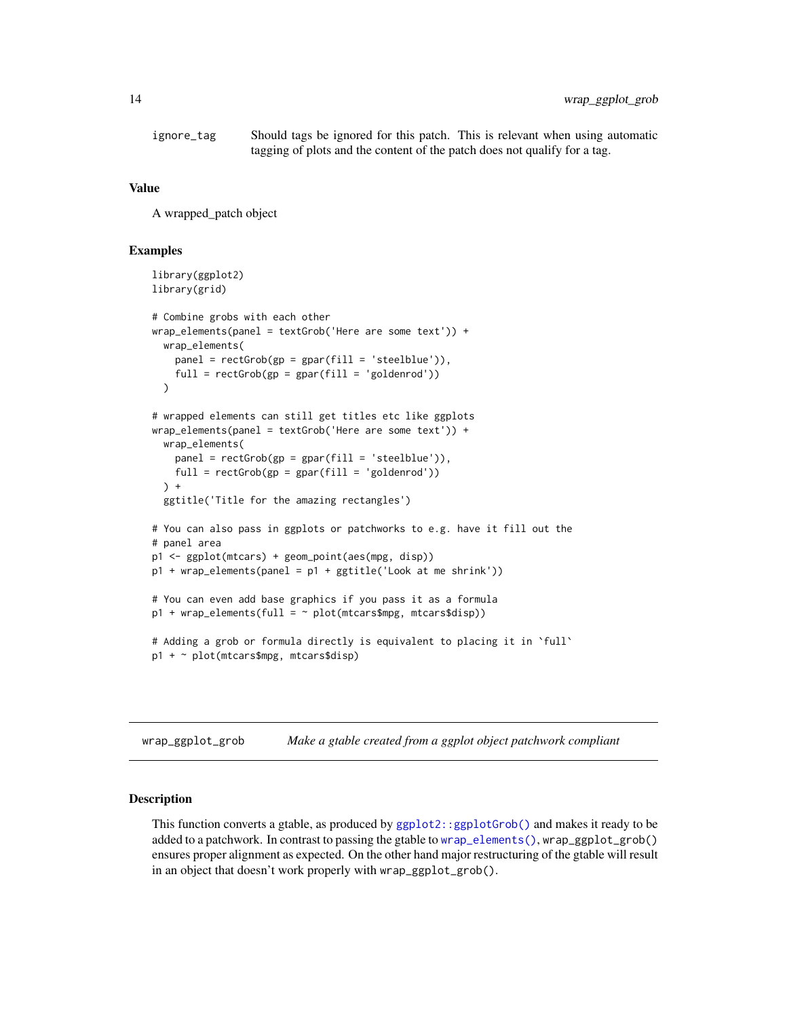<span id="page-13-0"></span>ignore\_tag Should tags be ignored for this patch. This is relevant when using automatic tagging of plots and the content of the patch does not qualify for a tag.

#### Value

A wrapped\_patch object

#### Examples

```
library(ggplot2)
library(grid)
# Combine grobs with each other
wrap_elements(panel = textGrob('Here are some text')) +
 wrap_elements(
    panel = rectGrob(gp = gpar(fill = 'steelblue')),
    full = rectGrob(gp = gpar(fill = 'goldenrod')))
# wrapped elements can still get titles etc like ggplots
wrap_elements(panel = textGrob('Here are some text')) +
 wrap_elements(
   panel = rectGrob(gp = gpar(fill = 'steelblue')),
   full = rectGrob(gp = gpar(fill = 'goldenrod'))
 \rightarrow +
 ggtitle('Title for the amazing rectangles')
# You can also pass in ggplots or patchworks to e.g. have it fill out the
# panel area
p1 <- ggplot(mtcars) + geom_point(aes(mpg, disp))
p1 + wrap_elements(panel = p1 + ggtitle('Look at me shrink'))
# You can even add base graphics if you pass it as a formula
p1 + wrap_elements(full = ~ plot(mtcars@mpg, mtcars@disp))# Adding a grob or formula directly is equivalent to placing it in `full`
p1 + ~ plot(mtcars$mpg, mtcars$disp)
```
wrap\_ggplot\_grob *Make a gtable created from a ggplot object patchwork compliant*

#### **Description**

This function converts a gtable, as produced by [ggplot2::ggplotGrob\(\)](#page-0-0) and makes it ready to be added to a patchwork. In contrast to passing the gtable to [wrap\\_elements\(\)](#page-12-1), wrap\_ggplot\_grob() ensures proper alignment as expected. On the other hand major restructuring of the gtable will result in an object that doesn't work properly with wrap\_ggplot\_grob().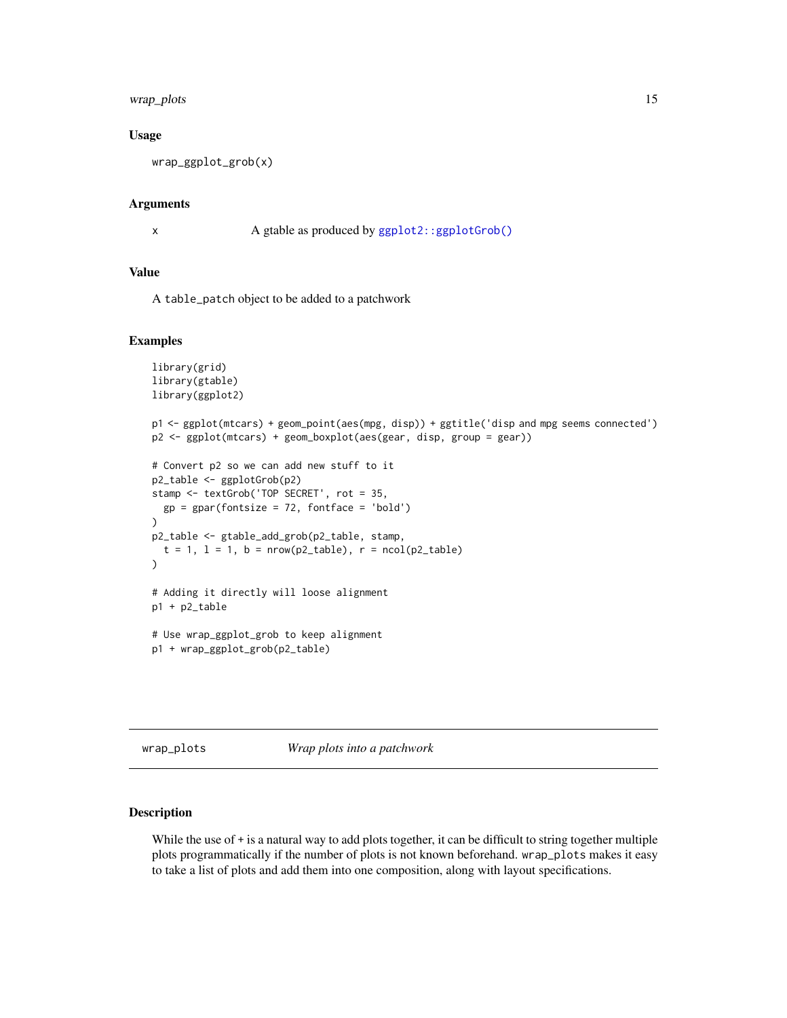#### <span id="page-14-0"></span>wrap\_plots 15

#### Usage

```
wrap_ggplot_grob(x)
```
#### Arguments

x A gtable as produced by [ggplot2::ggplotGrob\(\)](#page-0-0)

#### Value

A table\_patch object to be added to a patchwork

#### Examples

```
library(grid)
library(gtable)
library(ggplot2)
p1 <- ggplot(mtcars) + geom_point(aes(mpg, disp)) + ggtitle('disp and mpg seems connected')
p2 <- ggplot(mtcars) + geom_boxplot(aes(gear, disp, group = gear))
# Convert p2 so we can add new stuff to it
p2_table <- ggplotGrob(p2)
stamp <- textGrob('TOP SECRET', rot = 35,
  gp = gpar(fontsize = 72, fontface = 'bold')
\lambdap2_table <- gtable_add_grob(p2_table, stamp,
  t = 1, l = 1, b = nrow(p2_table), r = ncol(p2_table))
# Adding it directly will loose alignment
p1 + p2_table
# Use wrap_ggplot_grob to keep alignment
p1 + wrap_ggplot_grob(p2_table)
```
wrap\_plots *Wrap plots into a patchwork*

#### Description

While the use of + is a natural way to add plots together, it can be difficult to string together multiple plots programmatically if the number of plots is not known beforehand. wrap\_plots makes it easy to take a list of plots and add them into one composition, along with layout specifications.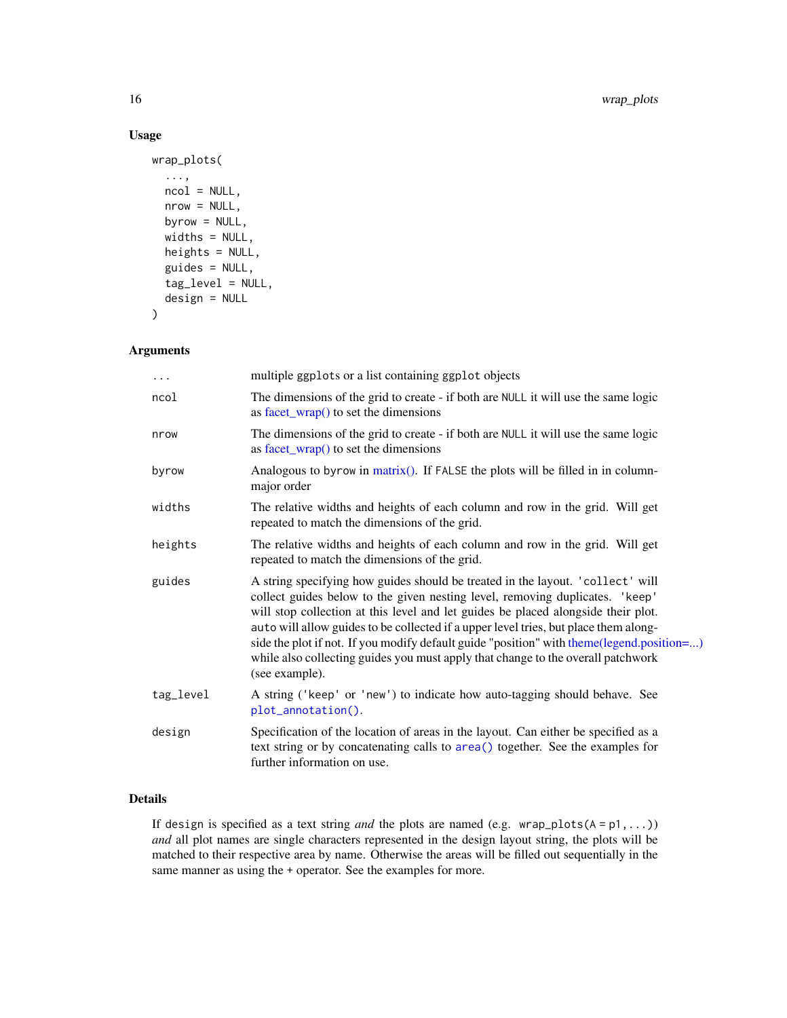#### Usage

```
wrap_plots(
  ...,
 ncol = NULL,nrow = NULL,byrow = NULL,
 widths = NULL,
 heights = NULL,
  guides = NULL,
  tag_level = NULL,
  design = NULL
)
```
#### Arguments

| $\cdots$  | multiple ggplots or a list containing ggplot objects                                                                                                                                                                                                                                                                                                                                                                                                                                                                                            |
|-----------|-------------------------------------------------------------------------------------------------------------------------------------------------------------------------------------------------------------------------------------------------------------------------------------------------------------------------------------------------------------------------------------------------------------------------------------------------------------------------------------------------------------------------------------------------|
| ncol      | The dimensions of the grid to create - if both are NULL it will use the same logic<br>as $facet_wrap()$ to set the dimensions                                                                                                                                                                                                                                                                                                                                                                                                                   |
| nrow      | The dimensions of the grid to create - if both are NULL it will use the same logic<br>as $facet_wrap()$ to set the dimensions                                                                                                                                                                                                                                                                                                                                                                                                                   |
| byrow     | Analogous to byrow in matrix(). If FALSE the plots will be filled in in column-<br>major order                                                                                                                                                                                                                                                                                                                                                                                                                                                  |
| widths    | The relative widths and heights of each column and row in the grid. Will get<br>repeated to match the dimensions of the grid.                                                                                                                                                                                                                                                                                                                                                                                                                   |
| heights   | The relative widths and heights of each column and row in the grid. Will get<br>repeated to match the dimensions of the grid.                                                                                                                                                                                                                                                                                                                                                                                                                   |
| guides    | A string specifying how guides should be treated in the layout. 'collect' will<br>collect guides below to the given nesting level, removing duplicates. 'keep'<br>will stop collection at this level and let guides be placed alongside their plot.<br>auto will allow guides to be collected if a upper level tries, but place them along-<br>side the plot if not. If you modify default guide "position" with theme (legend.position=)<br>while also collecting guides you must apply that change to the overall patchwork<br>(see example). |
| tag_level | A string ('keep' or 'new') to indicate how auto-tagging should behave. See<br>plot_annotation().                                                                                                                                                                                                                                                                                                                                                                                                                                                |
| design    | Specification of the location of areas in the layout. Can either be specified as a<br>text string or by concatenating calls to area() together. See the examples for<br>further information on use.                                                                                                                                                                                                                                                                                                                                             |
|           |                                                                                                                                                                                                                                                                                                                                                                                                                                                                                                                                                 |

#### Details

If design is specified as a text string *and* the plots are named (e.g. wrap\_plots(A = p1,...)) *and* all plot names are single characters represented in the design layout string, the plots will be matched to their respective area by name. Otherwise the areas will be filled out sequentially in the same manner as using the + operator. See the examples for more.

<span id="page-15-0"></span>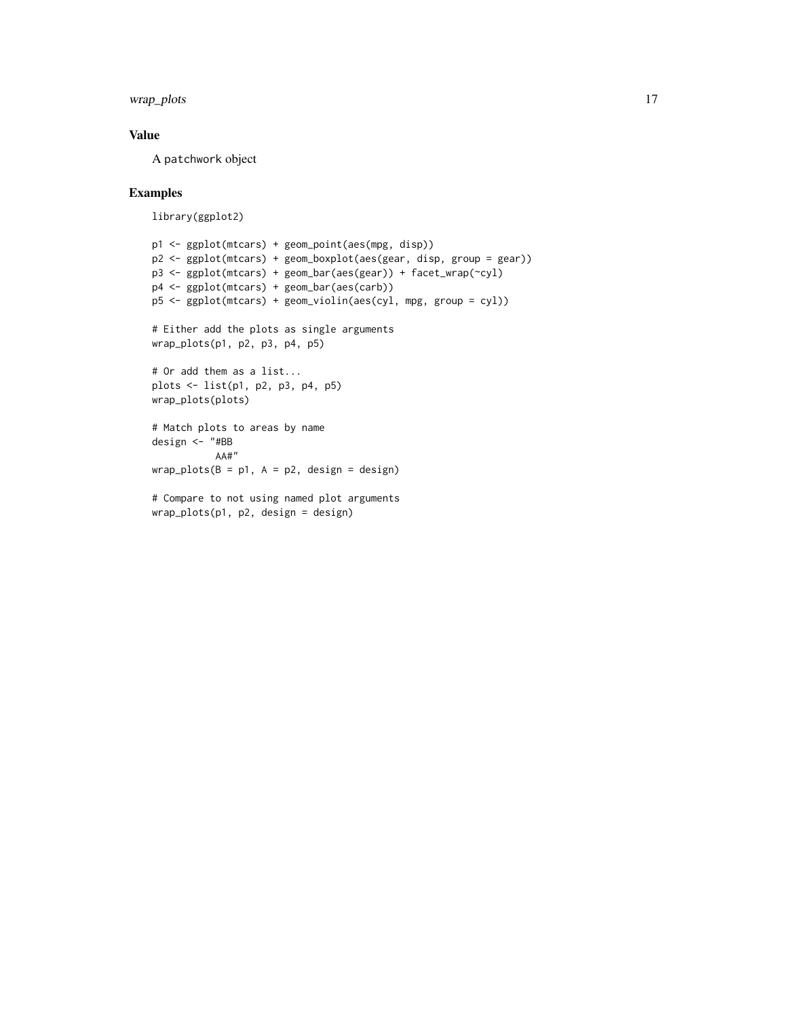wrap\_plots 17

#### Value

A patchwork object

#### Examples

library(ggplot2)

```
p1 <- ggplot(mtcars) + geom_point(aes(mpg, disp))
p2 <- ggplot(mtcars) + geom_boxplot(aes(gear, disp, group = gear))
p3 <- ggplot(mtcars) + geom_bar(aes(gear)) + facet_wrap(~cyl)
p4 <- ggplot(mtcars) + geom_bar(aes(carb))
p5 <- ggplot(mtcars) + geom_violin(aes(cyl, mpg, group = cyl))
# Either add the plots as single arguments
wrap_plots(p1, p2, p3, p4, p5)
# Or add them as a list...
plots <- list(p1, p2, p3, p4, p5)
wrap_plots(plots)
# Match plots to areas by name
design <- "#BB
          AA#"
wrap_plots(B = p1, A = p2, design = design)# Compare to not using named plot arguments
wrap_plots(p1, p2, design = design)
```